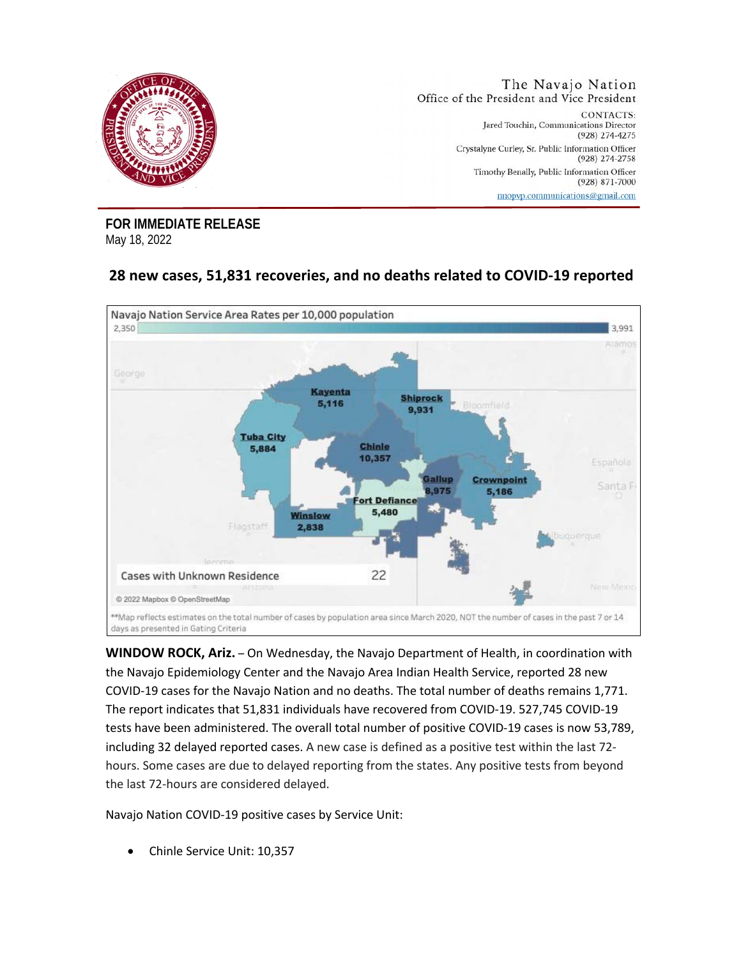

**FOR IMMEDIATE RELEASE** May 18, 2022

## **28 new cases, 51,831 recoveries, and no deaths related to COVID-19 reported**



**WINDOW ROCK, Ariz.** – On Wednesday, the Navajo Department of Health, in coordination with the Navajo Epidemiology Center and the Navajo Area Indian Health Service, reported 28 new COVID-19 cases for the Navajo Nation and no deaths. The total number of deaths remains 1,771. The report indicates that 51,831 individuals have recovered from COVID-19. 527,745 COVID-19 tests have been administered. The overall total number of positive COVID-19 cases is now 53,789, including 32 delayed reported cases. A new case is defined as a positive test within the last 72 hours. Some cases are due to delayed reporting from the states. Any positive tests from beyond the last 72-hours are considered delayed.

Navajo Nation COVID-19 positive cases by Service Unit:

• Chinle Service Unit: 10,357